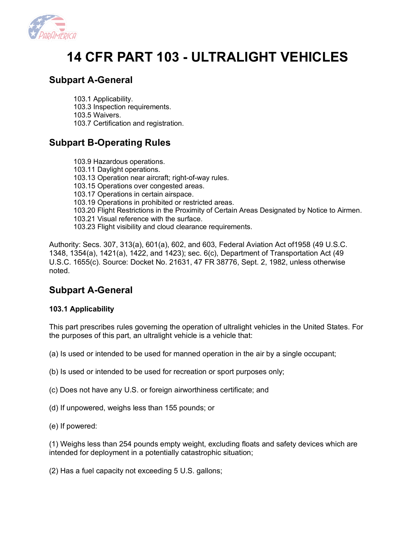

# **14 CFR PART 103 - ULTRALIGHT VEHICLES**

# **Subpart A-General**

103.1 Applicability. 103.3 Inspection requirements. 103.5 Waivers. 103.7 Certification and registration.

# **Subpart B-Operating Rules**

103.9 Hazardous operations. 103.11 Daylight operations. 103.13 Operation near aircraft; right-of-way rules. 103.15 Operations over congested areas. 103.17 Operations in certain airspace. 103.19 Operations in prohibited or restricted areas. 103.20 Flight Restrictions in the Proximity of Certain Areas Designated by Notice to Airmen. 103.21 Visual reference with the surface. 103.23 Flight visibility and cloud clearance requirements.

Authority: Secs. 307, 313(a), 601(a), 602, and 603, Federal Aviation Act of1958 (49 U.S.C. 1348, 1354(a), 1421(a), 1422, and 1423); sec. 6(c), Department of Transportation Act (49 U.S.C. 1655(c). Source: Docket No. 21631, 47 FR 38776, Sept. 2, 1982, unless otherwise noted.

# **Subpart A-General**

## **103.1 Applicability**

This part prescribes rules governing the operation of ultralight vehicles in the United States. For the purposes of this part, an ultralight vehicle is a vehicle that:

(a) Is used or intended to be used for manned operation in the air by a single occupant;

(b) Is used or intended to be used for recreation or sport purposes only;

(c) Does not have any U.S. or foreign airworthiness certificate; and

- (d) If unpowered, weighs less than 155 pounds; or
- (e) If powered:

(1) Weighs less than 254 pounds empty weight, excluding floats and safety devices which are intended for deployment in a potentially catastrophic situation;

(2) Has a fuel capacity not exceeding 5 U.S. gallons;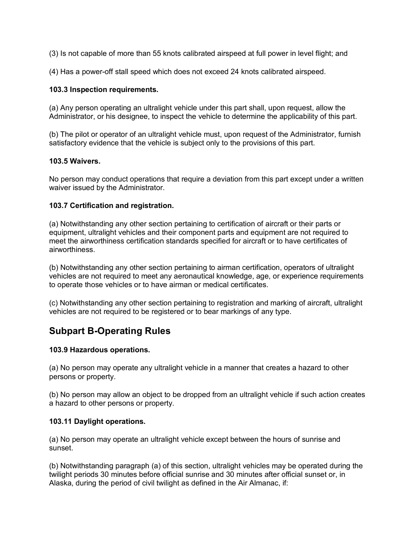(3) Is not capable of more than 55 knots calibrated airspeed at full power in level flight; and

(4) Has a power-off stall speed which does not exceed 24 knots calibrated airspeed.

### **103.3 Inspection requirements.**

(a) Any person operating an ultralight vehicle under this part shall, upon request, allow the Administrator, or his designee, to inspect the vehicle to determine the applicability of this part.

(b) The pilot or operator of an ultralight vehicle must, upon request of the Administrator, furnish satisfactory evidence that the vehicle is subject only to the provisions of this part.

### **103.5 Waivers.**

No person may conduct operations that require a deviation from this part except under a written waiver issued by the Administrator.

### **103.7 Certification and registration.**

(a) Notwithstanding any other section pertaining to certification of aircraft or their parts or equipment, ultralight vehicles and their component parts and equipment are not required to meet the airworthiness certification standards specified for aircraft or to have certificates of airworthiness.

(b) Notwithstanding any other section pertaining to airman certification, operators of ultralight vehicles are not required to meet any aeronautical knowledge, age, or experience requirements to operate those vehicles or to have airman or medical certificates.

(c) Notwithstanding any other section pertaining to registration and marking of aircraft, ultralight vehicles are not required to be registered or to bear markings of any type.

# **Subpart B-Operating Rules**

### **103.9 Hazardous operations.**

(a) No person may operate any ultralight vehicle in a manner that creates a hazard to other persons or property.

(b) No person may allow an object to be dropped from an ultralight vehicle if such action creates a hazard to other persons or property.

### **103.11 Daylight operations.**

(a) No person may operate an ultralight vehicle except between the hours of sunrise and sunset.

(b) Notwithstanding paragraph (a) of this section, ultralight vehicles may be operated during the twilight periods 30 minutes before official sunrise and 30 minutes after official sunset or, in Alaska, during the period of civil twilight as defined in the Air Almanac, if: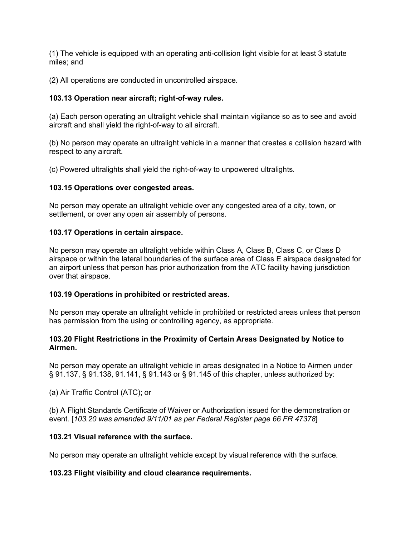(1) The vehicle is equipped with an operating anti-collision light visible for at least 3 statute miles; and

(2) All operations are conducted in uncontrolled airspace.

### **103.13 Operation near aircraft; right-of-way rules.**

(a) Each person operating an ultralight vehicle shall maintain vigilance so as to see and avoid aircraft and shall yield the right-of-way to all aircraft.

(b) No person may operate an ultralight vehicle in a manner that creates a collision hazard with respect to any aircraft.

(c) Powered ultralights shall yield the right-of-way to unpowered ultralights.

#### **103.15 Operations over congested areas.**

No person may operate an ultralight vehicle over any congested area of a city, town, or settlement, or over any open air assembly of persons.

#### **103.17 Operations in certain airspace.**

No person may operate an ultralight vehicle within Class A, Class B, Class C, or Class D airspace or within the lateral boundaries of the surface area of Class E airspace designated for an airport unless that person has prior authorization from the ATC facility having jurisdiction over that airspace.

#### **103.19 Operations in prohibited or restricted areas.**

No person may operate an ultralight vehicle in prohibited or restricted areas unless that person has permission from the using or controlling agency, as appropriate.

#### **103.20 Flight Restrictions in the Proximity of Certain Areas Designated by Notice to Airmen.**

No person may operate an ultralight vehicle in areas designated in a Notice to Airmen under § 91.137, § 91.138, 91.141, § 91.143 or § 91.145 of this chapter, unless authorized by:

(a) Air Traffic Control (ATC); or

(b) A Flight Standards Certificate of Waiver or Authorization issued for the demonstration or event. [*103.20 was amended 9/11/01 as per Federal Register page 66 FR 47378*]

### **103.21 Visual reference with the surface.**

No person may operate an ultralight vehicle except by visual reference with the surface.

#### **103.23 Flight visibility and cloud clearance requirements.**